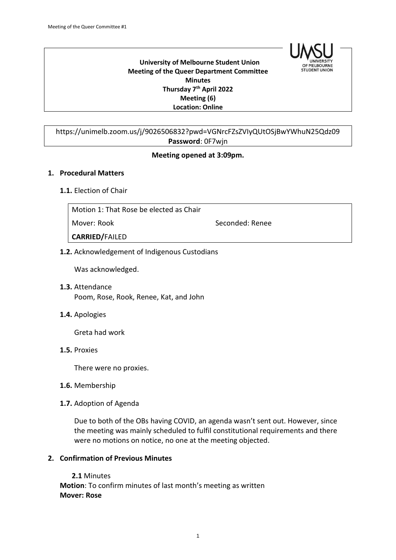

 **University of Melbourne Student Union Meeting of the Queer Department Committee Minutes Thursday 7th April 2022 Meeting (6) Location: Online**

# https://unimelb.zoom.us/j/9026506832?pwd=VGNrcFZsZVIyQUtOSjBwYWhuN25Qdz09 **Password**: 0F7wjn

# **Meeting opened at 3:09pm.**

#### **1. Procedural Matters**

#### **1.1.** Election of Chair

| Motion 1: That Rose be elected as Chair |                 |
|-----------------------------------------|-----------------|
| Mover: Rook                             | Seconded: Renee |
| <b>CARRIED/FAILED</b>                   |                 |
|                                         |                 |

# **1.2.** Acknowledgement of Indigenous Custodians

Was acknowledged.

- **1.3.** Attendance Poom, Rose, Rook, Renee, Kat, and John
- **1.4.** Apologies

Greta had work

**1.5.** Proxies

There were no proxies.

- **1.6.** Membership
- **1.7.** Adoption of Agenda

Due to both of the OBs having COVID, an agenda wasn't sent out. However, since the meeting was mainly scheduled to fulfil constitutional requirements and there were no motions on notice, no one at the meeting objected.

# **2. Confirmation of Previous Minutes**

**2.1** Minutes **Motion**: To confirm minutes of last month's meeting as written **Mover: Rose**